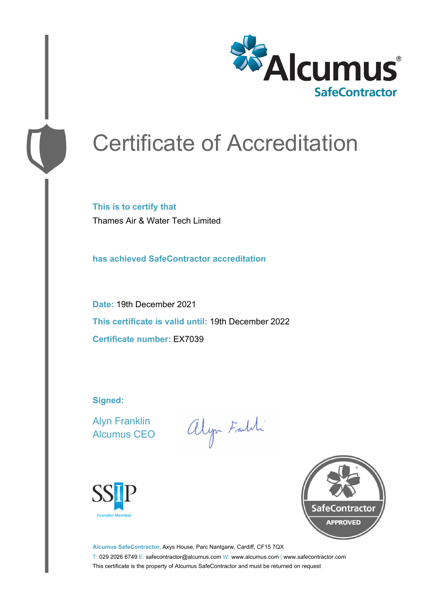

# Certificate of Accreditation

**This is to certify that** Thames Air & Water Tech Limited

**has achieved SafeContractor accreditation**

**Date:** 19th December 2021 **This certificate is valid until:** 19th December 2022 **Certificate number:** EX7039

**Signed:**

Alyn Franklin Alcumus CEO

alyn Faldi





**Alcumus SafeContractor,** Axys House, Parc Nantgarw, Cardiff, CF15 7QX T: 029 2026 6749 E: safecontractor@alcumus.com W: www.alcumus.com | www.safecontractor.com This certificate is the property of Alcumus SafeContractor and must be returned on request